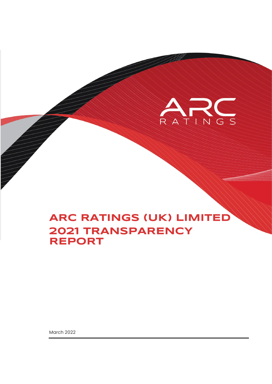

March 2022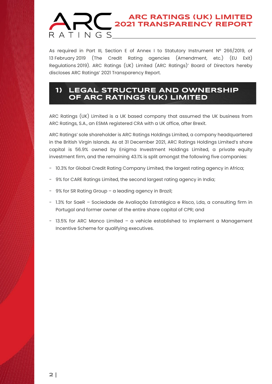As required in Part III, Section E of Annex I to Statutory Instrument Nº 266/2019, of 13 February 2019 (The Credit Rating agencies (Amendment, etc.) (EU Exit) Regulations 2019). ARC Ratings (UK) Limited (ARC Ratings)' Board of Directors hereby discloses ARC Ratings' 2021 Transparency Report.

### **1) LEGAL STRUCTURE AND OWNERSHIP OF ARC RATINGS (UK) LIMITED**

ARC Ratings (UK) Limited is a UK based company that assumed the UK business from ARC Ratings, S.A., an ESMA registered CRA with a UK office, after Brexit.

ARC Ratings' sole shareholder is ARC Ratings Holdings Limited, a company headquartered in the British Virgin Islands. As at 31 December 2021, ARC Ratings Holdings Limited's share capital is 56.9% owned by Enigma Investment Holdings Limited, a private equity investment firm, and the remaining 43.1% is split amongst the following five companies:

- 10.3% for Global Credit Rating Company Limited, the largest rating agency in Africa;
- 9% for CARE Ratings Limited, the second largest rating agency in India;
- 9% for SR Rating Group a leading agency in Brazil;
- 1.3% for SaeR Sociedade de Avaliação Estratégica e Risco, Lda, a consulting firm in Portugal and former owner of the entire share capital of CPR; and
- 13.5% for ARC Manco Limited a vehicle established to implement a Management Incentive Scheme for qualifying executives.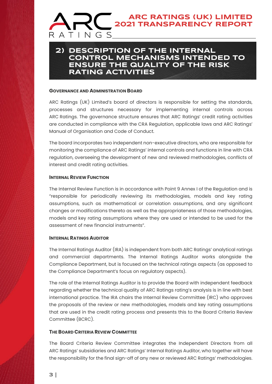### **2) DESCRIPTION OF THE INTERNAL CONTROL MECHANISMS INTENDED TO ENSURE THE QUALITY OF THE RISK RATING ACTIVITIES**

#### **GOVERNANCE AND ADMINISTRATION BOARD**

ARC Ratings (UK) Limited's board of directors is responsible for setting the standards, processes and structures necessary for implementing internal controls across ARC Ratings. The governance structure ensures that ARC Ratings' credit rating activities are conducted in compliance with the CRA Regulation, applicable laws and ARC Ratings' Manual of Organisation and Code of Conduct.

The board incorporates two independent non-executive directors, who are responsible for monitoring the compliance of ARC Ratings' internal controls and functions in line with CRA regulation, overseeing the development of new and reviewed methodologies, conflicts of interest and credit rating activities.

#### **INTERNAL REVIEW FUNCTION**

The Internal Review Function is in accordance with Point 9 Annex I of the Regulation and is "responsible for periodically reviewing its methodologies, models and key rating assumptions, such as mathematical or correlation assumptions, and any significant changes or modifications thereto as well as the appropriateness of those methodologies, models and key rating assumptions where they are used or intended to be used for the assessment of new financial instruments".

#### **INTERNAL RATINGS AUDITOR**

The Internal Ratings Auditor (IRA) is independent from both ARC Ratings' analytical ratings and commercial departments. The Internal Ratings Auditor works alongside the Compliance Department, but is focused on the technical ratings aspects (as opposed to the Compliance Department's focus on regulatory aspects).

The role of the Internal Ratings Auditor is to provide the Board with independent feedback regarding whether the technical quality of ARC Ratings rating's analysis is in line with best international practice. The IRA chairs the Internal Review Committee (IRC) who approves the proposals of the review or new methodologies, models and key rating assumptions that are used in the credit rating process and presents this to the Board Criteria Review Committee (BCRC).

#### **THE BOARD CRITERIA REVIEW COMMITTEE**

The Board Criteria Review Committee integrates the Independent Directors from all ARC Ratings' subsidiaries and ARC Ratings' Internal Ratings Auditor, who together will have the responsibility for the final sign-off of any new or reviewed ARC Ratings' methodologies.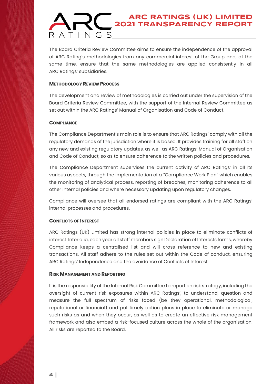The Board Criteria Review Committee aims to ensure the independence of the approval of ARC Rating's methodologies from any commercial interest of the Group and, at the same time, ensure that the same methodologies are applied consistently in all ARC Ratings' subsidiaries.

#### **METHODOLOGY REVIEW PROCESS**

The development and review of methodologies is carried out under the supervision of the Board Criteria Review Committee, with the support of the Internal Review Committee as set out within the ARC Ratings' Manual of Organisation and Code of Conduct.

#### **COMPLIANCE**

The Compliance Department's main role is to ensure that ARC Ratings' comply with all the regulatory demands of the jurisdiction where it is based. It provides training for all staff on any new and existing regulatory updates, as well as ARC Ratings' Manual of Organisation and Code of Conduct, so as to ensure adherence to the written policies and procedures.

The Compliance Department supervises the current activity of ARC Ratings' in all its various aspects, through the implementation of a "Compliance Work Plan" which enables the monitoring of analytical process, reporting of breaches, monitoring adherence to all other internal policies and where necessary updating upon regulatory changes.

Compliance will oversee that all endorsed ratings are compliant with the ARC Ratings' internal processes and procedures.

#### **CONFLICTS OF INTEREST**

ARC Ratings (UK) Limited has strong internal policies in place to eliminate conflicts of interest. Inter alia, each year all staff members sign Declaration of Interests forms, whereby Compliance keeps a centralised list and will cross reference to new and existing transactions. All staff adhere to the rules set out within the Code of conduct, ensuring ARC Ratings' Independence and the avoidance of Conflicts of Interest.

#### **RISK MANAGEMENT AND REPORTING**

It is the responsibility of the Internal Risk Committee to report on risk strategy, including the oversight of current risk exposures within ARC Ratings', to understand, question and measure the full spectrum of risks faced (be they operational, methodological, reputational or financial) and put timely action plans in place to eliminate or manage such risks as and when they occur, as well as to create an effective risk management framework and also embed a risk-focused culture across the whole of the organisation. All risks are reported to the Board.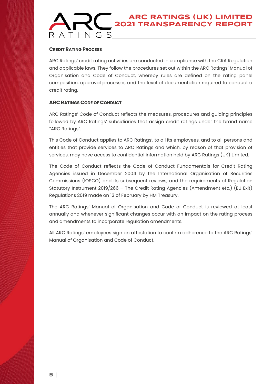#### **CREDIT RATING PROCESS**

ARC Ratings' credit rating activities are conducted in compliance with the CRA Regulation and applicable laws. They follow the procedures set out within the ARC Ratings' Manual of Organisation and Code of Conduct, whereby rules are defined on the rating panel composition, approval processes and the level of documentation required to conduct a credit rating.

#### **ARC RATINGS CODE OF CONDUCT**

ARC Ratings' Code of Conduct reflects the measures, procedures and guiding principles followed by ARC Ratings' subsidiaries that assign credit ratings under the brand name "ARC Ratings".

This Code of Conduct applies to ARC Ratings', to all its employees, and to all persons and entities that provide services to ARC Ratings and which, by reason of that provision of services, may have access to confidential information held by ARC Ratings (UK) Limited.

The Code of Conduct reflects the Code of Conduct Fundamentals for Credit Rating Agencies issued in December 2004 by the International Organisation of Securities Commissions (IOSCO) and its subsequent reviews, and the requirements of Regulation Statutory Instrument 2019/266 – The Credit Rating Agencies (Amendment etc.) (EU Exit) Regulations 2019 made on 13 of February by HM Treasury.

The ARC Ratings' Manual of Organisation and Code of Conduct is reviewed at least annually and whenever significant changes occur with an impact on the rating process and amendments to incorporate regulation amendments.

All ARC Ratings' employees sign an attestation to confirm adherence to the ARC Ratings' Manual of Organisation and Code of Conduct.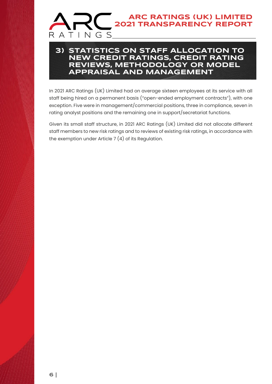### **3) STATISTICS ON STAFF ALLOCATION TO NEW CREDIT RATINGS, CREDIT RATING REVIEWS, METHODOLOGY OR MODEL APPRAISAL AND MANAGEMENT**

In 2021 ARC Ratings (UK) Limited had on average sixteen employees at its service with all staff being hired on a permanent basis ("open-ended employment contracts"), with one exception. Five were in management/commercial positions, three in compliance, seven in rating analyst positions and the remaining one in support/secretariat functions.

Given its small staff structure, in 2021 ARC Ratings (UK) Limited did not allocate different staff members to new risk ratings and to reviews of existing risk ratings, in accordance with the exemption under Article  $7(4)$  of its Regulation.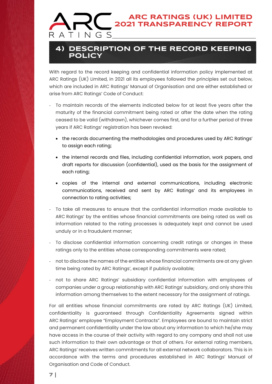### **4) DESCRIPTION OF THE RECORD KEEPING POLICY**

With regard to the record keeping and confidential information policy implemented at ARC Ratings (UK) Limited, in 2021 all its employees followed the principles set out below, which are included in ARC Ratings' Manual of Organisation and are either established or arise from ARC Ratings' Code of Conduct:

- To maintain records of the elements indicated below for at least five years after the maturity of the financial commitment being rated or after the date when the rating ceased to be valid (withdrawn), whichever comes first, and for a further period of three years if ARC Ratings' registration has been revoked:
	- the records documenting the methodologies and procedures used by ARC Ratings' to assign each rating;
	- the internal records and files, including confidential information, work papers, and draft reports for discussion (confidential), used as the basis for the assignment of each rating;
	- copies of the internal and external communications, including electronic communications, received and sent by ARC Ratings' and its employees in connection to rating activities;
- To take all measures to ensure that the confidential information made available to ARC Ratings' by the entities whose financial commitments are being rated as well as information related to the rating processes is adequately kept and cannot be used unduly or in a fraudulent manner;
- To disclose confidential information concerning credit ratings or changes in these ratings only to the entities whose corresponding commitments were rated;
- not to disclose the names of the entities whose financial commitments are at any given time being rated by ARC Ratings', except if publicly available;
- not to share ARC Ratings' subsidiary confidential information with employees of companies under a group relationship with ARC Ratings' subsidiary, and only share this information among themselves to the extent necessary for the assignment of ratings.

For all entities whose financial commitments are rated by ARC Ratings (UK) Limited, confidentiality is guaranteed through Confidentiality Agreements signed within ARC Ratings' employee "Employment Contracts". Employees are bound to maintain strict and permanent confidentiality under the law about any information to which he/she may have access in the course of their activity with regard to any company and shall not use such information to their own advantage or that of others. For external rating members, ARC Ratings' receives written commitments for all external network collaborators. This is in accordance with the terms and procedures established in ARC Ratings' Manual of Organisation and Code of Conduct.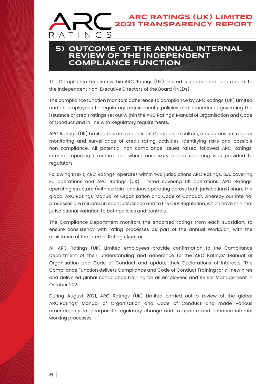### **5) OUTCOME OF THE ANNUAL INTERNAL REVIEW OF THE INDEPENDENT COMPLIANCE FUNCTION**

The Compliance Function within ARC Ratings (UK) Limited is independent and reports to the Independent Non-Executive Directors of the Board (INEDs).

The compliance function monitors adherence to compliance by ARC Ratings (UK) Limited and its employees to regulatory requirements, policies and procedures governing the issuance or credit ratings set out within the ARC Ratings' Manual of Organisation and Code of Conduct and in line with Regulatory requirements.

ARC Ratings (UK) Limited has an ever present Compliance culture, and carries out regular monitoring and surveillance of credit rating activities, identifying risks and possible non-compliance. All potential non-compliance issues raised followed ARC Ratings' internal reporting structure and where necessary adhoc reporting was provided to regulators.

Following Brexit, ARC Ratings' operates within two jurisdictions ARC Ratings, S.A. covering EU operations and ARC Ratings (UK) Limited covering UK operations. ARC Ratings' operating structure (with certain functions operating across both jurisdictions) share the global ARC Ratings' Manual of Organisation and Code of Conduct, whereby our internal processes are mirrored in each jurisdiction and to the CRA Regulation, which have minimal jurisdictional variation to both policies and controls.

The Compliance Department monitors the endorsed ratings from each subsidiary to ensure consistency with rating processes as part of the annual Workplan, with the assistance of the Internal Ratings Auditor.

All ARC Ratings (UK) Limited employees provide confirmation to the Compliance Department of their understanding and adherence to the ARC Ratings' Manual of Organisation and Code of Conduct and update their Declarations of Interests. The Compliance Function delivers Compliance and Code of Conduct Training for all new hires and delivered global compliance training for all employees and Senior Management in October 2021.

During August 2021, ARC Ratings (UK) Limited carried out a review of the global ARC Ratings' Manual of Organisation and Code of Conduct and made various amendments to incorporate regulatory change and to update and enhance internal working processes.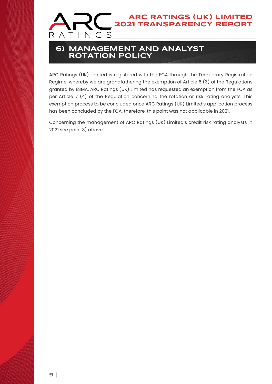

### **6) MANAGEMENT AND ANALYST ROTATION POLICY**

ARC Ratings (UK) Limited is registered with the FCA through the Temporary Registration Regime, whereby we are grandfathering the exemption of Article 6 (3) of the Regulations granted by ESMA. ARC Ratings (UK) Limited has requested an exemption from the FCA as per Article 7 (4) of the Regulation concerning the rotation or risk rating analysts. This exemption process to be concluded once ARC Ratings (UK) Limited's application process has been concluded by the FCA, therefore, this point was not applicable in 2021.

Concerning the management of ARC Ratings (UK) Limited's credit risk rating analysts in 2021 see point 3) above.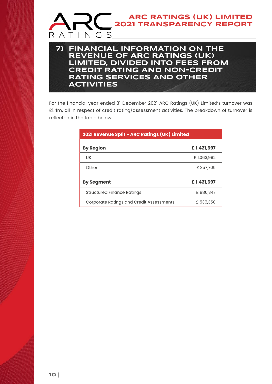

For the financial year ended 31 December 2021 ARC Ratings (UK) Limited's turnover was £1.4m, all in respect of credit rating/assessment activities. The breakdown of turnover is reflected in the table below:

| 2021 Revenue Split - ARC Ratings (UK) Limited   |            |
|-------------------------------------------------|------------|
| <b>By Region</b>                                | £1,421,697 |
| UK                                              | £1,063,992 |
| Other                                           | £357,705   |
| <b>By Segment</b>                               | £1,421,697 |
| Structured Finance Ratings                      | £886,347   |
| <b>Corporate Ratings and Credit Assessments</b> | £ 535,350  |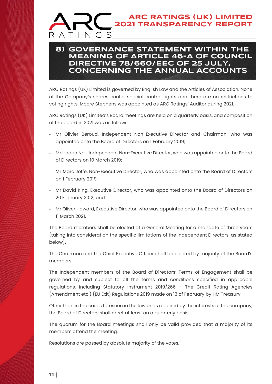### **8) GOVERNANCE STATEMENT WITHIN THE MEANING OF ARTICLE 46-A OF COUNCIL DIRECTIVE 78/660/EEC OF 25 JULY, CONCERNING THE ANNUAL ACCOUNTS**

ARC Ratings (UK) Limited is governed by English Law and the Articles of Association. None of the Company's shares confer special control rights and there are no restrictions to voting rights. Moore Stephens was appointed as ARC Ratings' Auditor during 2021.

ARC Ratings (UK) Limited's Board meetings are held on a quarterly basis, and composition of the board in 2021 was as follows:

- Mr Olivier Beroud, Independent Non-Executive Director and Chairman, who was appointed onto the Board of Directors on 1 February 2019;
- Mr Lindon Neil, Independent Non-Executive Director, who was appointed onto the Board of Directors on 10 March 2019;
- Mr Marc Joffe, Non-Executive Director, who was appointed onto the Board of Directors on 1 February 2019;
- Mr David King, Executive Director, who was appointed onto the Board of Directors on 20 February 2012; and
- Mr Oliver Howard, Executive Director, who was appointed onto the Board of Directors on 11 March 2021.

The Board members shall be elected at a General Meeting for a mandate of three years (taking into consideration the specific limitations of the Independent Directors, as stated below).

The Chairman and the Chief Executive Officer shall be elected by majority of the Board's members.

The Independent members of the Board of Directors' Terms of Engagement shall be governed by and subject to all the terms and conditions specified in applicable regulations, including Statutory Instrument 2019/266 – The Credit Rating Agencies (Amendment etc.) (EU Exit) Regulations 2019 made on 13 of February by HM Treasury.

Other than in the cases foreseen in the law or as required by the interests of the company, the Board of Directors shall meet at least on a quarterly basis.

The quorum for the Board meetings shall only be valid provided that a majority of its members attend the meeting.

Resolutions are passed by absolute majority of the votes.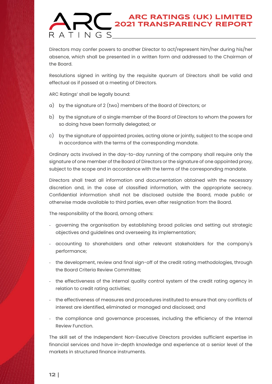Directors may confer powers to another Director to act/represent him/her during his/her absence, which shall be presented in a written form and addressed to the Chairman of the Board.

Resolutions signed in writing by the requisite quorum of Directors shall be valid and effectual as if passed at a meeting of Directors.

ARC Ratings' shall be legally bound:

- a) by the signature of 2 (two) members of the Board of Directors; or
- b) by the signature of a single member of the Board of Directors to whom the powers for so doing have been formally delegated; or
- c) by the signature of appointed proxies, acting alone or jointly, subject to the scope and in accordance with the terms of the corresponding mandate.

Ordinary acts involved in the day-to-day running of the company shall require only the signature of one member of the Board of Directors or the signature of one appointed proxy, subject to the scope and in accordance with the terms of the corresponding mandate.

Directors shall treat all information and documentation obtained with the necessary discretion and, in the case of classified information, with the appropriate secrecy. Confidential information shall not be disclosed outside the Board, made public or otherwise made available to third parties, even after resignation from the Board.

The responsibility of the Board, among others:

- governing the organisation by establishing broad policies and setting out strategic objectives and guidelines and overseeing its implementation;
- accounting to shareholders and other relevant stakeholders for the company's performance;
- the development, review and final sign-off of the credit rating methodologies, through the Board Criteria Review Committee;
- the effectiveness of the internal quality control system of the credit rating agency in relation to credit rating activities;
- the effectiveness of measures and procedures instituted to ensure that any conflicts of interest are identified, eliminated or managed and disclosed; and
- the compliance and governance processes, including the efficiency of the Internal Review Function.

The skill set of the Independent Non-Executive Directors provides sufficient expertise in financial services and have in-depth knowledge and experience at a senior level of the markets in structured finance instruments.